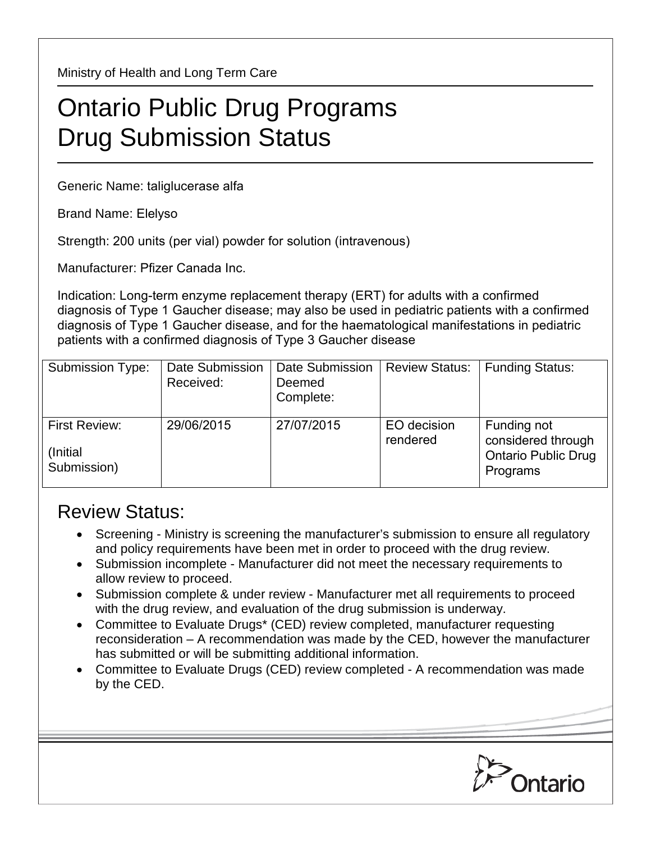Ministry of Health and Long Term Care

## Ontario Public Drug Programs Drug Submission Status

Generic Name: taliglucerase alfa

Brand Name: Elelyso

Strength: 200 units (per vial) powder for solution (intravenous)

Manufacturer: Pfizer Canada Inc.

Indication: Long-term enzyme replacement therapy (ERT) for adults with a confirmed diagnosis of Type 1 Gaucher disease; may also be used in pediatric patients with a confirmed diagnosis of Type 1 Gaucher disease, and for the haematological manifestations in pediatric patients with a confirmed diagnosis of Type 3 Gaucher disease

| <b>Submission Type:</b>                          | Date Submission<br>Received: | Date Submission<br>Deemed<br>Complete: | <b>Review Status:</b>   | <b>Funding Status:</b>                                                      |
|--------------------------------------------------|------------------------------|----------------------------------------|-------------------------|-----------------------------------------------------------------------------|
| <b>First Review:</b><br>(Initial)<br>Submission) | 29/06/2015                   | 27/07/2015                             | EO decision<br>rendered | Funding not<br>considered through<br><b>Ontario Public Drug</b><br>Programs |

## Review Status:

- Screening Ministry is screening the manufacturer's submission to ensure all regulatory and policy requirements have been met in order to proceed with the drug review.
- Submission incomplete Manufacturer did not meet the necessary requirements to allow review to proceed.
- Submission complete & under review Manufacturer met all requirements to proceed with the drug review, and evaluation of the drug submission is underway.
- Committee to Evaluate Drugs\* (CED) review completed, manufacturer requesting reconsideration – A recommendation was made by the CED, however the manufacturer has submitted or will be submitting additional information.
- Committee to Evaluate Drugs (CED) review completed A recommendation was made by the CED.